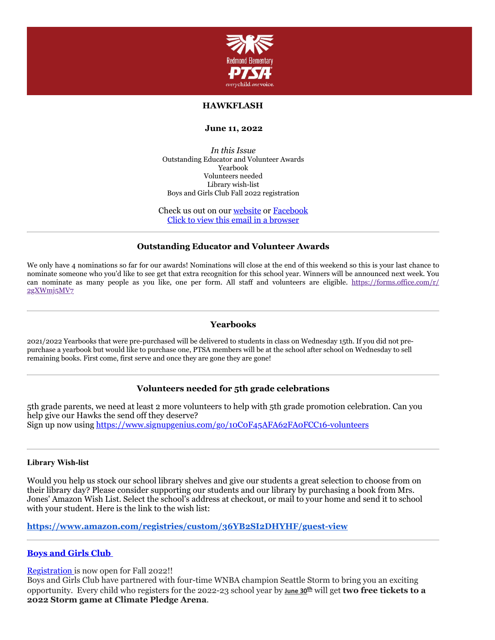

# **HAWKFLASH**

#### **June 11, 2022**

*In this Issue* Outstanding Educator and Volunteer Awards Yearbook Volunteers needed Library wish-list Boys and Girls Club Fall 2022 registration

Check us out on our [website](https://cts.vresp.com/c/?RedmondElementaryPTS/c18508ea47/f55aa07e44/65c33290cd) or [Facebook](https://cts.vresp.com/c/?RedmondElementaryPTS/c18508ea47/f55aa07e44/22f4e63909) Click to view this email in a [browser](http://hosted.verticalresponse.com/649438/c18508ea47/TEST/TEST/)

## **Outstanding Educator and Volunteer Awards**

We only have 4 nominations so far for our awards! Nominations will close at the end of this weekend so this is your last chance to nominate someone who you'd like to see get that extra recognition for this school year. Winners will be announced next week. You [can nominate as many people as you like, one per form. All staff and volunteers are eligible.](https://forms.office.com/r/2gXWmj5MV7) https://forms.office.com/r/ 2gXWmj5MV7

### **Yearbooks**

2021/2022 Yearbooks that were pre-purchased will be delivered to students in class on Wednesday 15th. If you did not prepurchase a yearbook but would like to purchase one, PTSA members will be at the school after school on Wednesday to sell remaining books. First come, first serve and once they are gone they are gone!

## **Volunteers needed for 5th grade celebrations**

5th grade parents, we need at least 2 more volunteers to help with 5th grade promotion celebration. Can you help give our Hawks the send off they deserve? Sign up now using [https://www.signupgenius.com/go/10C0F45AFA62FA0FCC16-volunteers](https://cts.vresp.com/c/?RedmondElementaryPTS/c18508ea47/f55aa07e44/534a481bbf)

#### **Library Wish-list**

Would you help us stock our school library shelves and give our students a great selection to choose from on their library day? Please consider supporting our students and our library by purchasing a book from Mrs. Jones' Amazon Wish List. Select the school's address at checkout, or mail to your home and send it to school with your student. Here is the link to the wish list:

**<https://www.amazon.com/registries/custom/36YB2SI2DHYHF/guest-view>**

## **Boys and [Girls Club](https://cts.vresp.com/c/?RedmondElementaryPTS/c18508ea47/f55aa07e44/99626865aa)**

[Registration](https://cts.vresp.com/c/?RedmondElementaryPTS/c18508ea47/f55aa07e44/6a0c8365b2) is now open for Fall 2022!!

Boys and Girls Club have partnered with four-time WNBA champion Seattle Storm to bring you an exciting opportunity. Every child who registers for the 2022-23 school year by **June 30th** will get **two free tickets to a 2022 Storm game at Climate Pledge Arena**.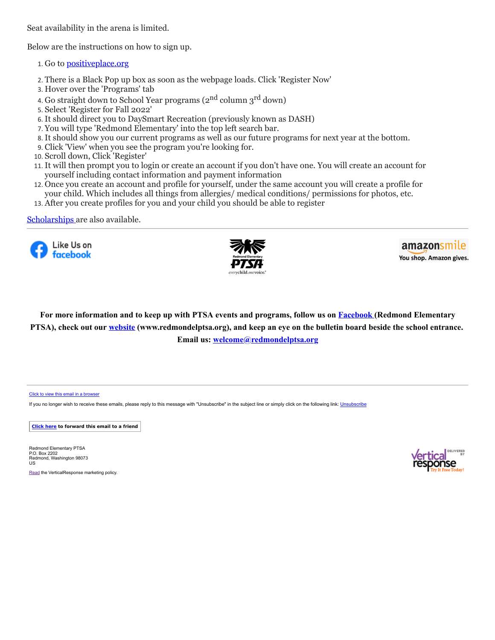Seat availability in the arena is limited.

Below are the instructions on how to sign up.

- 1. Go to [positiveplace.org](https://cts.vresp.com/c/?RedmondElementaryPTS/c18508ea47/f55aa07e44/15dcd34772/url=https%3A%2F%2Fpositiveplace.org%2F&data=05%7C01%7Cascholes%40positiveplace.org%7C0341b55ac85b47e5f90b08da222e60ee%7C10bddbefa7bc43318abd75d1af02150a%7C0%7C0%7C637859879835644377%7CUnknown%7CTWFpbGZsb3d8eyJWIjoiMC4wLjAwMDAiLCJQIjoiV2luMzIiLCJBTiI6Ik1haWwiLCJXVCI6Mn0%3D%7C3000%7C%7C%7C&sdata=q%2BC%2BQNrsRbNlD1lj7DGwa5OvKUyMHE%2BTvSNPAdSZ1Wo%3D&reserved=0)
- 2. There is a Black Pop up box as soon as the webpage loads. Click 'Register Now'
- 3. Hover over the 'Programs' tab
- 4. Go straight down to School Year programs (2<sup>nd</sup> column 3<sup>rd</sup> down)
- 5. Select 'Register for Fall 2022'
- 6. It should direct you to DaySmart Recreation (previously known as DASH)
- 7. You will type 'Redmond Elementary' into the top left search bar.
- 8. It should show you our current programs as well as our future programs for next year at the bottom.
- 9. Click 'View' when you see the program you're looking for.
- 10. Scroll down, Click 'Register'
- 11. It will then prompt you to login or create an account if you don't have one. You will create an account for yourself including contact information and payment information
- 12. Once you create an account and profile for yourself, under the same account you will create a profile for your child. Which includes all things from allergies/ medical conditions/ permissions for photos, etc.
- 13. After you create profiles for you and your child you should be able to register

## [Scholarships](https://cts.vresp.com/c/?RedmondElementaryPTS/c18508ea47/f55aa07e44/96edc488de) are also available.





amazonsmile You shop. Amazon gives.

For more information and to keep up with PTSA events and programs, follow us on **[Facebook](https://cts.vresp.com/c/?RedmondElementaryPTS/c18508ea47/f55aa07e44/49489a9169)** (Redmond Elementary PTSA), check out our [website](https://cts.vresp.com/c/?RedmondElementaryPTS/c18508ea47/f55aa07e44/b61d2e6829) (www.redmondelptsa.org), and keep an eye on the bulletin board beside the school entrance. **Email us: [welcome@redmondelptsa.org](mailto:welcome@redmondelptsa.org)**

#### [Click to view this email in a browser](http://hosted.verticalresponse.com/649438/c18508ea47/TEST/TEST/)

If you no longer wish to receive these emails, please reply to this message with "[Unsubscribe](https://cts.vresp.com/u?c18508ea47/f55aa07e44//confirm)" in the subject line or simply click on the following link: Unsubscribe

**[Click here](http://oi.vresp.com/f2af/v4/send_to_friend.html?ch=c18508ea47&lid=283376003&ldh=f55aa07e44) to forward this email to a friend**

Redmond Elementary PTSA P.O. Box 2202 Redmond, Washington 98073 US

[Read](https://verticalresponse.com/about/policy-and-terms) the VerticalResponse marketing policy.